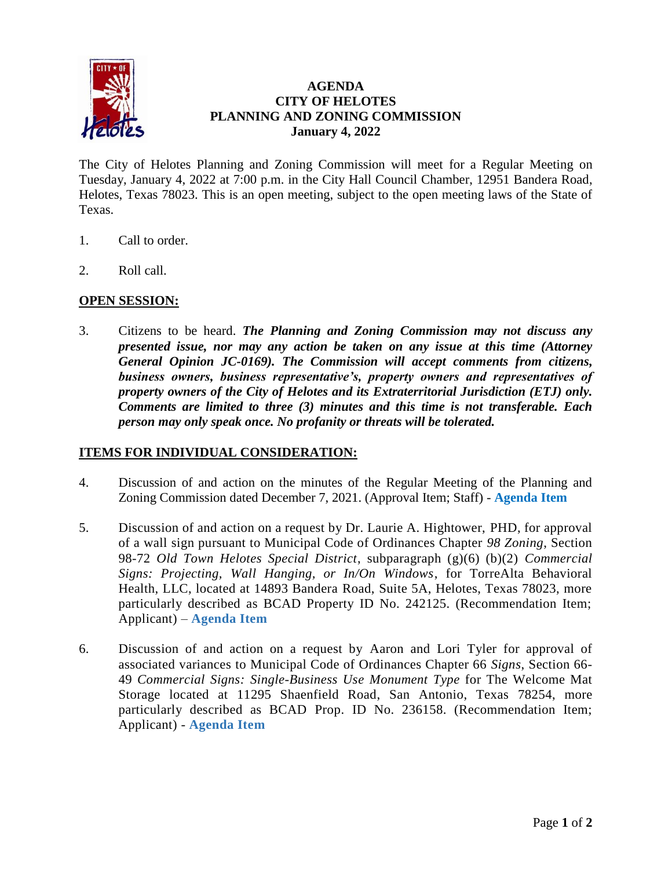

# **AGENDA CITY OF HELOTES PLANNING AND ZONING COMMISSION January 4, 2022**

The City of Helotes Planning and Zoning Commission will meet for a Regular Meeting on Tuesday, January 4, 2022 at 7:00 p.m. in the City Hall Council Chamber, 12951 Bandera Road, Helotes, Texas 78023. This is an open meeting, subject to the open meeting laws of the State of Texas.

- 1. Call to order.
- 2. Roll call.

## **OPEN SESSION:**

3. Citizens to be heard. *The Planning and Zoning Commission may not discuss any presented issue, nor may any action be taken on any issue at this time (Attorney General Opinion JC-0169). The Commission will accept comments from citizens, business owners, business representative's, property owners and representatives of property owners of the City of Helotes and its Extraterritorial Jurisdiction (ETJ) only. Comments are limited to three (3) minutes and this time is not transferable. Each person may only speak once. No profanity or threats will be tolerated.*

## **ITEMS FOR INDIVIDUAL CONSIDERATION:**

- 4. Discussion of and action on the minutes of the Regular Meeting of the Planning and Zoning Commission dated December 7, 2021. (Approval Item; Staff) - **[Agenda Item](https://www.helotes-tx.gov/wp-content/uploads/2021/12/4-Minutes-2.pdf)**
- 5. Discussion of and action on a request by Dr. Laurie A. Hightower, PHD, for approval of a wall sign pursuant to Municipal Code of Ordinances Chapter *98 Zoning*, Section 98-72 *Old Town Helotes Special District*, subparagraph (g)(6) (b)(2) *Commercial Signs: Projecting, Wall Hanging, or In/On Windows*, for TorreAlta Behavioral Health, LLC, located at 14893 Bandera Road, Suite 5A, Helotes, Texas 78023, more particularly described as BCAD Property ID No. 242125. (Recommendation Item; Applicant) – **[Agenda Item](https://www.helotes-tx.gov/wp-content/uploads/2021/12/Attachments-A-E-TorreAlta.pdf)**
- 6. Discussion of and action on a request by Aaron and Lori Tyler for approval of associated variances to Municipal Code of Ordinances Chapter 66 *Signs*, Section 66- 49 *Commercial Signs: Single-Business Use Monument Type* for The Welcome Mat Storage located at 11295 Shaenfield Road, San Antonio, Texas 78254, more particularly described as BCAD Prop. ID No. 236158. (Recommendation Item; Applicant) - **[Agenda Item](https://www.helotes-tx.gov/wp-content/uploads/2021/12/Attachments-Welcome-Mat-Storage.pdf)**